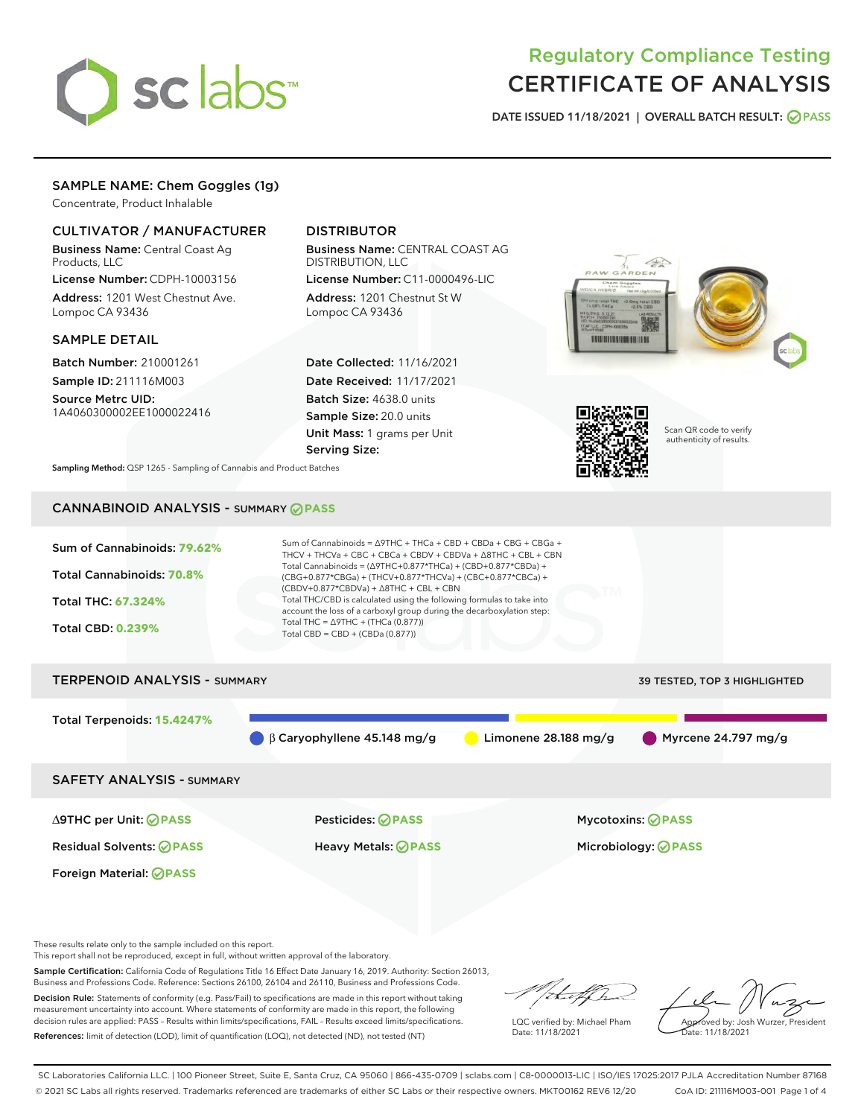

# Regulatory Compliance Testing CERTIFICATE OF ANALYSIS

DATE ISSUED 11/18/2021 | OVERALL BATCH RESULT: @ PASS

## SAMPLE NAME: Chem Goggles (1g)

Concentrate, Product Inhalable

#### CULTIVATOR / MANUFACTURER

Business Name: Central Coast Ag Products, LLC

License Number: CDPH-10003156 Address: 1201 West Chestnut Ave. Lompoc CA 93436

#### SAMPLE DETAIL

Batch Number: 210001261 Sample ID: 211116M003

Source Metrc UID: 1A4060300002EE1000022416

## DISTRIBUTOR

Business Name: CENTRAL COAST AG DISTRIBUTION, LLC License Number: C11-0000496-LIC

Address: 1201 Chestnut St W Lompoc CA 93436

Date Collected: 11/16/2021 Date Received: 11/17/2021 Batch Size: 4638.0 units Sample Size: 20.0 units Unit Mass: 1 grams per Unit Serving Size:





Scan QR code to verify authenticity of results.

Sampling Method: QSP 1265 - Sampling of Cannabis and Product Batches

## CANNABINOID ANALYSIS - SUMMARY **PASS**



These results relate only to the sample included on this report.

This report shall not be reproduced, except in full, without written approval of the laboratory.

Sample Certification: California Code of Regulations Title 16 Effect Date January 16, 2019. Authority: Section 26013, Business and Professions Code. Reference: Sections 26100, 26104 and 26110, Business and Professions Code. Decision Rule: Statements of conformity (e.g. Pass/Fail) to specifications are made in this report without taking

measurement uncertainty into account. Where statements of conformity are made in this report, the following decision rules are applied: PASS – Results within limits/specifications, FAIL – Results exceed limits/specifications. References: limit of detection (LOD), limit of quantification (LOQ), not detected (ND), not tested (NT)

that fCh

LQC verified by: Michael Pham Date: 11/18/2021

Approved by: Josh Wurzer, President

Date: 11/18/2021

SC Laboratories California LLC. | 100 Pioneer Street, Suite E, Santa Cruz, CA 95060 | 866-435-0709 | sclabs.com | C8-0000013-LIC | ISO/IES 17025:2017 PJLA Accreditation Number 87168 © 2021 SC Labs all rights reserved. Trademarks referenced are trademarks of either SC Labs or their respective owners. MKT00162 REV6 12/20 CoA ID: 211116M003-001 Page 1 of 4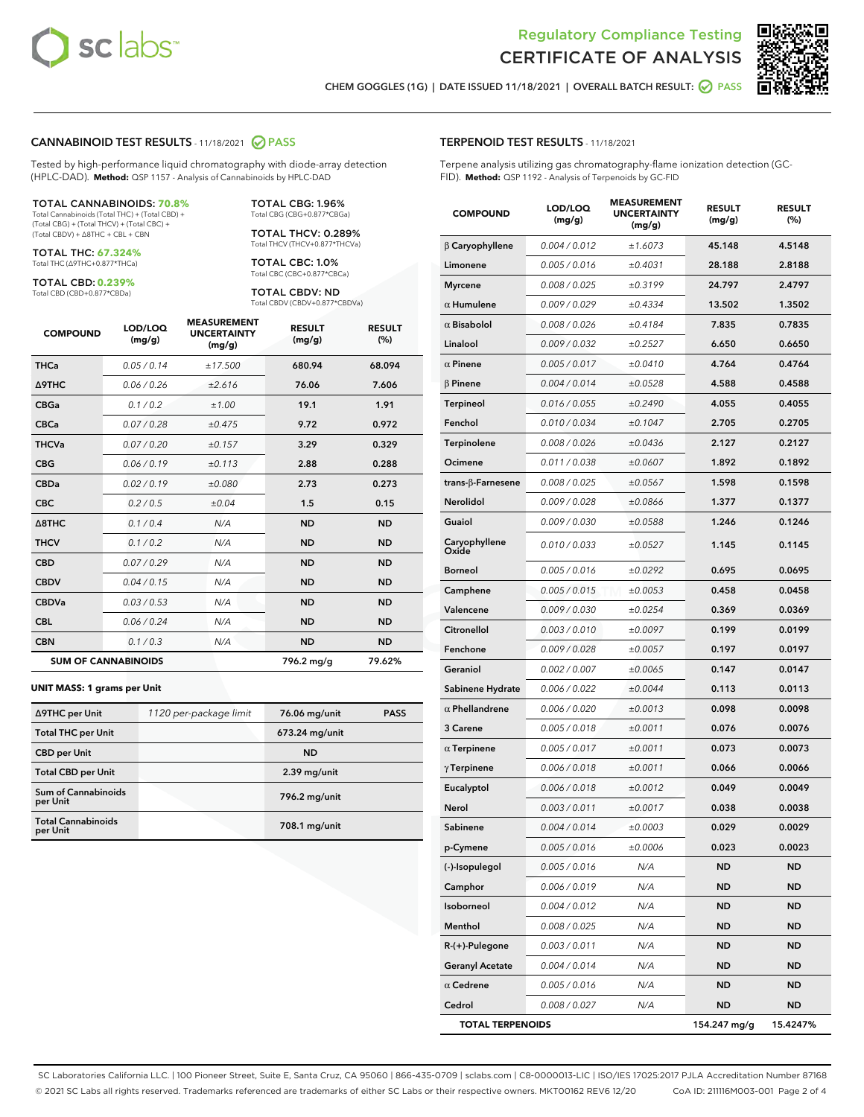



CHEM GOGGLES (1G) | DATE ISSUED 11/18/2021 | OVERALL BATCH RESULT: **○** PASS

#### CANNABINOID TEST RESULTS - 11/18/2021 2 PASS

Tested by high-performance liquid chromatography with diode-array detection (HPLC-DAD). **Method:** QSP 1157 - Analysis of Cannabinoids by HPLC-DAD

#### TOTAL CANNABINOIDS: **70.8%**

Total Cannabinoids (Total THC) + (Total CBD) + (Total CBG) + (Total THCV) + (Total CBC) + (Total CBDV) + ∆8THC + CBL + CBN

TOTAL THC: **67.324%** Total THC (∆9THC+0.877\*THCa)

TOTAL CBD: **0.239%** Total CBD (CBD+0.877\*CBDa)

TOTAL CBG: 1.96% Total CBG (CBG+0.877\*CBGa)

TOTAL THCV: 0.289% Total THCV (THCV+0.877\*THCVa)

TOTAL CBC: 1.0% Total CBC (CBC+0.877\*CBCa)

TOTAL CBDV: ND Total CBDV (CBDV+0.877\*CBDVa)

| <b>COMPOUND</b>            | LOD/LOQ<br>(mg/g) | <b>MEASUREMENT</b><br><b>UNCERTAINTY</b><br>(mg/g) | <b>RESULT</b><br>(mg/g) | <b>RESULT</b><br>(%) |
|----------------------------|-------------------|----------------------------------------------------|-------------------------|----------------------|
| <b>THCa</b>                | 0.05/0.14         | ±17.500                                            | 680.94                  | 68.094               |
| <b>A9THC</b>               | 0.06 / 0.26       | ±2.616                                             | 76.06                   | 7.606                |
| <b>CBGa</b>                | 0.1/0.2           | ±1.00                                              | 19.1                    | 1.91                 |
| <b>CBCa</b>                | 0.07 / 0.28       | ±0.475                                             | 9.72                    | 0.972                |
| <b>THCVa</b>               | 0.07/0.20         | ±0.157                                             | 3.29                    | 0.329                |
| <b>CBG</b>                 | 0.06/0.19         | ±0.113                                             | 2.88                    | 0.288                |
| <b>CBDa</b>                | 0.02/0.19         | ±0.080                                             | 2.73                    | 0.273                |
| <b>CBC</b>                 | 0.2 / 0.5         | ±0.04                                              | 1.5                     | 0.15                 |
| A8THC                      | 0.1/0.4           | N/A                                                | <b>ND</b>               | <b>ND</b>            |
| <b>THCV</b>                | 0.1 / 0.2         | N/A                                                | <b>ND</b>               | <b>ND</b>            |
| <b>CBD</b>                 | 0.07/0.29         | N/A                                                | <b>ND</b>               | <b>ND</b>            |
| <b>CBDV</b>                | 0.04 / 0.15       | N/A                                                | <b>ND</b>               | <b>ND</b>            |
| <b>CBDVa</b>               | 0.03 / 0.53       | N/A                                                | <b>ND</b>               | <b>ND</b>            |
| <b>CBL</b>                 | 0.06 / 0.24       | N/A                                                | <b>ND</b>               | <b>ND</b>            |
| <b>CBN</b>                 | 0.1/0.3           | N/A                                                | <b>ND</b>               | <b>ND</b>            |
| <b>SUM OF CANNABINOIDS</b> |                   |                                                    | 796.2 mg/g              | 79.62%               |

#### **UNIT MASS: 1 grams per Unit**

| ∆9THC per Unit                        | 1120 per-package limit | 76.06 mg/unit    | <b>PASS</b> |
|---------------------------------------|------------------------|------------------|-------------|
| <b>Total THC per Unit</b>             |                        | $673.24$ mg/unit |             |
| <b>CBD per Unit</b>                   |                        | <b>ND</b>        |             |
| <b>Total CBD per Unit</b>             |                        | $2.39$ mg/unit   |             |
| Sum of Cannabinoids<br>per Unit       |                        | 796.2 mg/unit    |             |
| <b>Total Cannabinoids</b><br>per Unit |                        | 708.1 mg/unit    |             |

| <b>COMPOUND</b>        | <b>LOD/LOQ</b><br>(mg/g) | <b>UNCERTAINTY</b><br>(mg/g) | <b>RESULT</b><br>(mg/g) | <b>RESULT</b><br>(%) |
|------------------------|--------------------------|------------------------------|-------------------------|----------------------|
| $\beta$ Caryophyllene  | 0.004 / 0.012            | ±1.6073                      | 45.148                  | 4.5148               |
| Limonene               | 0.005 / 0.016            | ±0.4031                      | 28.188                  | 2.8188               |
| <b>Myrcene</b>         | 0.008 / 0.025            | ±0.3199                      | 24.797                  | 2.4797               |
| $\alpha$ Humulene      | 0.009/0.029              | ±0.4334                      | 13.502                  | 1.3502               |
| $\alpha$ Bisabolol     | 0.008 / 0.026            | ±0.4184                      | 7.835                   | 0.7835               |
| Linalool               | 0.009 / 0.032            | ±0.2527                      | 6.650                   | 0.6650               |
| $\alpha$ Pinene        | 0.005 / 0.017            | ±0.0410                      | 4.764                   | 0.4764               |
| <b>B</b> Pinene        | 0.004 / 0.014            | ±0.0528                      | 4.588                   | 0.4588               |
| Terpineol              | 0.016 / 0.055            | ±0.2490                      | 4.055                   | 0.4055               |
| Fenchol                | 0.010 / 0.034            | ±0.1047                      | 2.705                   | 0.2705               |
| Terpinolene            | 0.008 / 0.026            | ±0.0436                      | 2.127                   | 0.2127               |
| Ocimene                | 0.011 / 0.038            | ±0.0607                      | 1.892                   | 0.1892               |
| trans-β-Farnesene      | 0.008 / 0.025            | ±0.0567                      | 1.598                   | 0.1598               |
| Nerolidol              | 0.009 / 0.028            | ±0.0866                      | 1.377                   | 0.1377               |
| Guaiol                 | 0.009 / 0.030            | ±0.0588                      | 1.246                   | 0.1246               |
| Caryophyllene<br>Oxide | 0.010 / 0.033            | ±0.0527                      | 1.145                   | 0.1145               |
| <b>Borneol</b>         | 0.005 / 0.016            | ±0.0292                      | 0.695                   | 0.0695               |
| Camphene               | 0.005 / 0.015            | ±0.0053                      | 0.458                   | 0.0458               |
| Valencene              | 0.009 / 0.030            | ±0.0254                      | 0.369                   | 0.0369               |
| Citronellol            | 0.003 / 0.010            | ±0.0097                      | 0.199                   | 0.0199               |
| Fenchone               | 0.009 / 0.028            | ±0.0057                      | 0.197                   | 0.0197               |
| Geraniol               | 0.002 / 0.007            | ±0.0065                      | 0.147                   | 0.0147               |
| Sabinene Hydrate       | 0.006 / 0.022            | ±0.0044                      | 0.113                   | 0.0113               |
| $\alpha$ Phellandrene  | 0.006 / 0.020            | ±0.0013                      | 0.098                   | 0.0098               |
| 3 Carene               | 0.005 / 0.018            | ±0.0011                      | 0.076                   | 0.0076               |
| $\alpha$ Terpinene     | 0.005 / 0.017            | ±0.0011                      | 0.073                   | 0.0073               |
| $\gamma$ Terpinene     | 0.006 / 0.018            | ±0.0011                      | 0.066                   | 0.0066               |
| Eucalyptol             | 0.006 / 0.018            | ±0.0012                      | 0.049                   | 0.0049               |
| Nerol                  | 0.003 / 0.011            | ±0.0017                      | 0.038                   | 0.0038               |
| Sabinene               | 0.004 / 0.014            | ±0.0003                      | 0.029                   | 0.0029               |
| p-Cymene               | 0.005 / 0.016            | ±0.0006                      | 0.023                   | 0.0023               |
| (-)-Isopulegol         | 0.005 / 0.016            | N/A                          | ND                      | ND                   |
| Camphor                | 0.006 / 0.019            | N/A                          | <b>ND</b>               | ND                   |
| Isoborneol             | 0.004 / 0.012            | N/A                          | <b>ND</b>               | <b>ND</b>            |
| Menthol                | 0.008 / 0.025            | N/A                          | ND                      | ND                   |
| $R-(+)$ -Pulegone      | 0.003 / 0.011            | N/A                          | ND                      | ND                   |
| <b>Geranyl Acetate</b> | 0.004 / 0.014            | N/A                          | ND                      | <b>ND</b>            |
| $\alpha$ Cedrene       | 0.005 / 0.016            | N/A                          | ND                      | ND                   |
| Cedrol                 | 0.008 / 0.027            | N/A                          | <b>ND</b>               | <b>ND</b>            |

TOTAL TERPENOIDS 154.247 mg/g 15.4247%

#### TERPENOID TEST RESULTS - 11/18/2021

Terpene analysis utilizing gas chromatography-flame ionization detection (GC-FID). **Method:** QSP 1192 - Analysis of Terpenoids by GC-FID

MEASUREMENT

SC Laboratories California LLC. | 100 Pioneer Street, Suite E, Santa Cruz, CA 95060 | 866-435-0709 | sclabs.com | C8-0000013-LIC | ISO/IES 17025:2017 PJLA Accreditation Number 87168 © 2021 SC Labs all rights reserved. Trademarks referenced are trademarks of either SC Labs or their respective owners. MKT00162 REV6 12/20 CoA ID: 211116M003-001 Page 2 of 4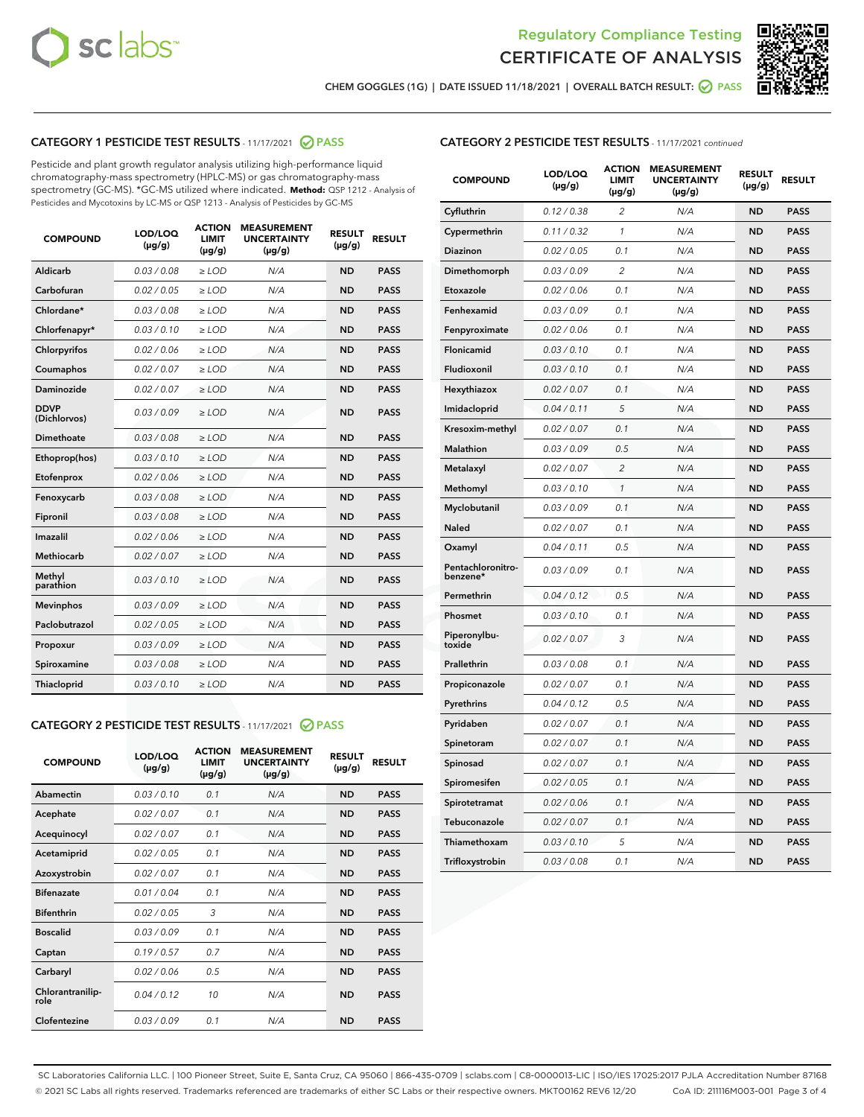



CHEM GOGGLES (1G) | DATE ISSUED 11/18/2021 | OVERALL BATCH RESULT: ● PASS

#### CATEGORY 1 PESTICIDE TEST RESULTS - 11/17/2021 @ PASS

Pesticide and plant growth regulator analysis utilizing high-performance liquid chromatography-mass spectrometry (HPLC-MS) or gas chromatography-mass spectrometry (GC-MS). \*GC-MS utilized where indicated. **Method:** QSP 1212 - Analysis of Pesticides and Mycotoxins by LC-MS or QSP 1213 - Analysis of Pesticides by GC-MS

| <b>COMPOUND</b>             | LOD/LOQ<br>$(\mu g/g)$ | <b>ACTION</b><br><b>LIMIT</b><br>$(\mu g/g)$ | <b>MEASUREMENT</b><br><b>UNCERTAINTY</b><br>$(\mu g/g)$ | <b>RESULT</b><br>$(\mu g/g)$ | <b>RESULT</b> |
|-----------------------------|------------------------|----------------------------------------------|---------------------------------------------------------|------------------------------|---------------|
| Aldicarb                    | 0.03/0.08              | $\ge$ LOD                                    | N/A                                                     | <b>ND</b>                    | <b>PASS</b>   |
| Carbofuran                  | 0.02 / 0.05            | $\geq$ LOD                                   | N/A                                                     | <b>ND</b>                    | <b>PASS</b>   |
| Chlordane*                  | 0.03 / 0.08            | $\ge$ LOD                                    | N/A                                                     | <b>ND</b>                    | <b>PASS</b>   |
| Chlorfenapyr*               | 0.03/0.10              | $\geq$ LOD                                   | N/A                                                     | <b>ND</b>                    | <b>PASS</b>   |
| Chlorpyrifos                | 0.02 / 0.06            | $\geq$ LOD                                   | N/A                                                     | <b>ND</b>                    | <b>PASS</b>   |
| Coumaphos                   | 0.02 / 0.07            | $\ge$ LOD                                    | N/A                                                     | <b>ND</b>                    | <b>PASS</b>   |
| Daminozide                  | 0.02 / 0.07            | $\ge$ LOD                                    | N/A                                                     | <b>ND</b>                    | <b>PASS</b>   |
| <b>DDVP</b><br>(Dichlorvos) | 0.03/0.09              | $>$ LOD                                      | N/A                                                     | <b>ND</b>                    | <b>PASS</b>   |
| Dimethoate                  | 0.03 / 0.08            | $\ge$ LOD                                    | N/A                                                     | <b>ND</b>                    | <b>PASS</b>   |
| Ethoprop(hos)               | 0.03/0.10              | $\ge$ LOD                                    | N/A                                                     | <b>ND</b>                    | <b>PASS</b>   |
| Etofenprox                  | 0.02/0.06              | $>$ LOD                                      | N/A                                                     | <b>ND</b>                    | <b>PASS</b>   |
| Fenoxycarb                  | 0.03/0.08              | $\ge$ LOD                                    | N/A                                                     | <b>ND</b>                    | <b>PASS</b>   |
| Fipronil                    | 0.03/0.08              | $>$ LOD                                      | N/A                                                     | <b>ND</b>                    | <b>PASS</b>   |
| Imazalil                    | 0.02 / 0.06            | $\ge$ LOD                                    | N/A                                                     | <b>ND</b>                    | <b>PASS</b>   |
| Methiocarb                  | 0.02 / 0.07            | $\ge$ LOD                                    | N/A                                                     | <b>ND</b>                    | <b>PASS</b>   |
| Methyl<br>parathion         | 0.03/0.10              | $>$ LOD                                      | N/A                                                     | <b>ND</b>                    | <b>PASS</b>   |
| <b>Mevinphos</b>            | 0.03/0.09              | $>$ LOD                                      | N/A                                                     | <b>ND</b>                    | <b>PASS</b>   |
| Paclobutrazol               | 0.02 / 0.05            | $\ge$ LOD                                    | N/A                                                     | <b>ND</b>                    | <b>PASS</b>   |
| Propoxur                    | 0.03/0.09              | $\ge$ LOD                                    | N/A                                                     | <b>ND</b>                    | <b>PASS</b>   |
| Spiroxamine                 | 0.03 / 0.08            | $\ge$ LOD                                    | N/A                                                     | <b>ND</b>                    | <b>PASS</b>   |
| Thiacloprid                 | 0.03/0.10              | $\ge$ LOD                                    | N/A                                                     | <b>ND</b>                    | <b>PASS</b>   |

#### CATEGORY 2 PESTICIDE TEST RESULTS - 11/17/2021 @ PASS

| <b>COMPOUND</b>          | LOD/LOQ<br>$(\mu g/g)$ | <b>ACTION</b><br><b>LIMIT</b><br>$(\mu g/g)$ | <b>MEASUREMENT</b><br><b>UNCERTAINTY</b><br>$(\mu g/g)$ | <b>RESULT</b><br>$(\mu g/g)$ | <b>RESULT</b> |
|--------------------------|------------------------|----------------------------------------------|---------------------------------------------------------|------------------------------|---------------|
| Abamectin                | 0.03/0.10              | 0.1                                          | N/A                                                     | <b>ND</b>                    | <b>PASS</b>   |
| Acephate                 | 0.02/0.07              | 0.1                                          | N/A                                                     | <b>ND</b>                    | <b>PASS</b>   |
| Acequinocyl              | 0.02/0.07              | 0.1                                          | N/A                                                     | <b>ND</b>                    | <b>PASS</b>   |
| Acetamiprid              | 0.02/0.05              | 0.1                                          | N/A                                                     | <b>ND</b>                    | <b>PASS</b>   |
| Azoxystrobin             | 0.02/0.07              | 0.1                                          | N/A                                                     | <b>ND</b>                    | <b>PASS</b>   |
| <b>Bifenazate</b>        | 0.01/0.04              | 0.1                                          | N/A                                                     | <b>ND</b>                    | <b>PASS</b>   |
| <b>Bifenthrin</b>        | 0.02 / 0.05            | 3                                            | N/A                                                     | <b>ND</b>                    | <b>PASS</b>   |
| <b>Boscalid</b>          | 0.03/0.09              | 0.1                                          | N/A                                                     | <b>ND</b>                    | <b>PASS</b>   |
| Captan                   | 0.19/0.57              | 0.7                                          | N/A                                                     | <b>ND</b>                    | <b>PASS</b>   |
| Carbaryl                 | 0.02/0.06              | 0.5                                          | N/A                                                     | <b>ND</b>                    | <b>PASS</b>   |
| Chlorantranilip-<br>role | 0.04/0.12              | 10                                           | N/A                                                     | <b>ND</b>                    | <b>PASS</b>   |
| Clofentezine             | 0.03/0.09              | 0.1                                          | N/A                                                     | <b>ND</b>                    | <b>PASS</b>   |

#### CATEGORY 2 PESTICIDE TEST RESULTS - 11/17/2021 continued

| <b>COMPOUND</b>               | LOD/LOQ<br>(µg/g) | <b>ACTION</b><br>LIMIT<br>$(\mu g/g)$ | <b>MEASUREMENT</b><br><b>UNCERTAINTY</b><br>(µg/g) | <b>RESULT</b><br>(µg/g) | <b>RESULT</b> |
|-------------------------------|-------------------|---------------------------------------|----------------------------------------------------|-------------------------|---------------|
| Cyfluthrin                    | 0.12 / 0.38       | 2                                     | N/A                                                | ND                      | <b>PASS</b>   |
| Cypermethrin                  | 0.11 / 0.32       | 1                                     | N/A                                                | ND                      | PASS          |
| Diazinon                      | 0.02 / 0.05       | 0.1                                   | N/A                                                | ND                      | PASS          |
| Dimethomorph                  | 0.03 / 0.09       | $\overline{c}$                        | N/A                                                | <b>ND</b>               | <b>PASS</b>   |
| Etoxazole                     | 0.02 / 0.06       | 0.1                                   | N/A                                                | ND                      | <b>PASS</b>   |
| Fenhexamid                    | 0.03 / 0.09       | 0.1                                   | N/A                                                | ND                      | <b>PASS</b>   |
| Fenpyroximate                 | 0.02 / 0.06       | 0.1                                   | N/A                                                | <b>ND</b>               | <b>PASS</b>   |
| Flonicamid                    | 0.03 / 0.10       | 0.1                                   | N/A                                                | <b>ND</b>               | <b>PASS</b>   |
| Fludioxonil                   | 0.03 / 0.10       | 0.1                                   | N/A                                                | <b>ND</b>               | <b>PASS</b>   |
| Hexythiazox                   | 0.02 / 0.07       | 0.1                                   | N/A                                                | <b>ND</b>               | PASS          |
| Imidacloprid                  | 0.04 / 0.11       | 5                                     | N/A                                                | <b>ND</b>               | <b>PASS</b>   |
| Kresoxim-methyl               | 0.02 / 0.07       | 0.1                                   | N/A                                                | ND                      | <b>PASS</b>   |
| Malathion                     | 0.03 / 0.09       | 0.5                                   | N/A                                                | <b>ND</b>               | <b>PASS</b>   |
| Metalaxyl                     | 0.02 / 0.07       | $\overline{c}$                        | N/A                                                | <b>ND</b>               | <b>PASS</b>   |
| Methomyl                      | 0.03 / 0.10       | 1                                     | N/A                                                | ND                      | <b>PASS</b>   |
| Myclobutanil                  | 0.03/0.09         | 0.1                                   | N/A                                                | <b>ND</b>               | <b>PASS</b>   |
| Naled                         | 0.02 / 0.07       | 0.1                                   | N/A                                                | ND                      | <b>PASS</b>   |
| Oxamyl                        | 0.04 / 0.11       | 0.5                                   | N/A                                                | ND                      | <b>PASS</b>   |
| Pentachloronitro-<br>benzene* | 0.03 / 0.09       | 0.1                                   | N/A                                                | ND                      | <b>PASS</b>   |
| Permethrin                    | 0.04/0.12         | 0.5                                   | N/A                                                | <b>ND</b>               | <b>PASS</b>   |
| Phosmet                       | 0.03 / 0.10       | 0.1                                   | N/A                                                | ND                      | PASS          |
| Piperonylbu-<br>toxide        | 0.02 / 0.07       | 3                                     | N/A                                                | <b>ND</b>               | <b>PASS</b>   |
| Prallethrin                   | 0.03 / 0.08       | 0.1                                   | N/A                                                | <b>ND</b>               | <b>PASS</b>   |
| Propiconazole                 | 0.02 / 0.07       | 0.1                                   | N/A                                                | ND                      | <b>PASS</b>   |
| Pyrethrins                    | 0.04 / 0.12       | 0.5                                   | N/A                                                | ND                      | PASS          |
| Pyridaben                     | 0.02 / 0.07       | 0.1                                   | N/A                                                | <b>ND</b>               | <b>PASS</b>   |
| Spinetoram                    | 0.02 / 0.07       | 0.1                                   | N/A                                                | ND                      | <b>PASS</b>   |
| Spinosad                      | 0.02 / 0.07       | 0.1                                   | N/A                                                | ND                      | PASS          |
| Spiromesifen                  | 0.02 / 0.05       | 0.1                                   | N/A                                                | <b>ND</b>               | <b>PASS</b>   |
| Spirotetramat                 | 0.02 / 0.06       | 0.1                                   | N/A                                                | ND                      | <b>PASS</b>   |
| Tebuconazole                  | 0.02 / 0.07       | 0.1                                   | N/A                                                | ND                      | <b>PASS</b>   |
| Thiamethoxam                  | 0.03 / 0.10       | 5                                     | N/A                                                | <b>ND</b>               | <b>PASS</b>   |
| Trifloxystrobin               | 0.03 / 0.08       | 0.1                                   | N/A                                                | <b>ND</b>               | <b>PASS</b>   |

SC Laboratories California LLC. | 100 Pioneer Street, Suite E, Santa Cruz, CA 95060 | 866-435-0709 | sclabs.com | C8-0000013-LIC | ISO/IES 17025:2017 PJLA Accreditation Number 87168 © 2021 SC Labs all rights reserved. Trademarks referenced are trademarks of either SC Labs or their respective owners. MKT00162 REV6 12/20 CoA ID: 211116M003-001 Page 3 of 4